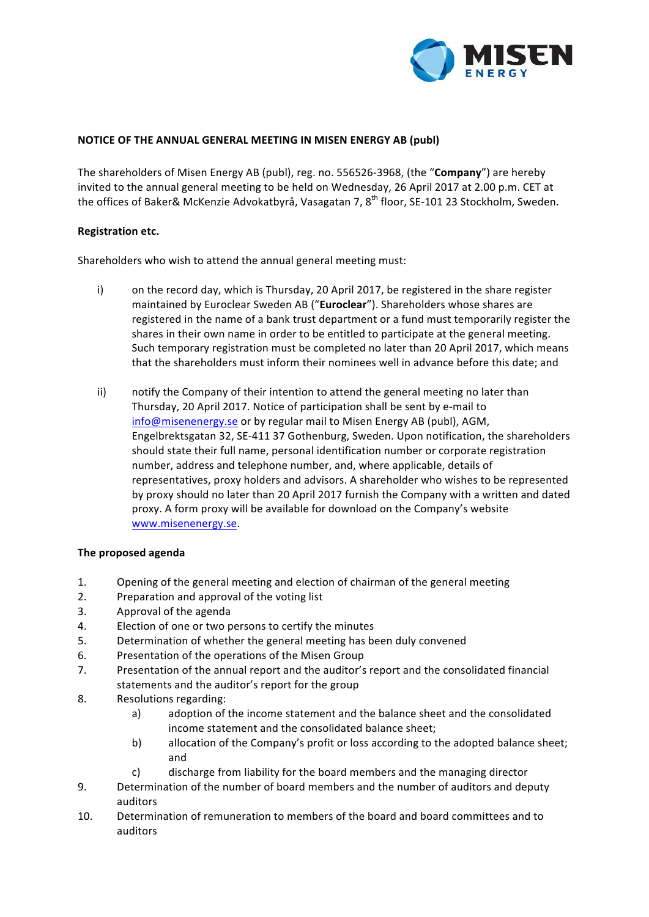

#### **NOTICE OF THE ANNUAL GENERAL MEETING IN MISEN ENERGY AB (publ)**

The shareholders of Misen Energy AB (publ), reg. no. 556526-3968, (the "Company") are hereby invited to the annual general meeting to be held on Wednesday, 26 April 2017 at 2.00 p.m. CET at the offices of Baker& McKenzie Advokatbyrå, Vasagatan 7, 8<sup>th</sup> floor, SE-101 23 Stockholm, Sweden.

#### **Registration etc.**

Shareholders who wish to attend the annual general meeting must:

- i) on the record day, which is Thursday, 20 April 2017, be registered in the share register maintained by Euroclear Sweden AB ("Euroclear"). Shareholders whose shares are registered in the name of a bank trust department or a fund must temporarily register the shares in their own name in order to be entitled to participate at the general meeting. Such temporary registration must be completed no later than 20 April 2017, which means that the shareholders must inform their nominees well in advance before this date; and
- ii) notify the Company of their intention to attend the general meeting no later than Thursday, 20 April 2017. Notice of participation shall be sent by e-mail to info@misenenergy.se or by regular mail to Misen Energy AB (publ), AGM, Engelbrektsgatan 32, SE-411 37 Gothenburg, Sweden. Upon notification, the shareholders should state their full name, personal identification number or corporate registration number, address and telephone number, and, where applicable, details of representatives, proxy holders and advisors. A shareholder who wishes to be represented by proxy should no later than 20 April 2017 furnish the Company with a written and dated proxy. A form proxy will be available for download on the Company's website www.misenenergy.se.

## **The proposed agenda**

- 1. Opening of the general meeting and election of chairman of the general meeting
- 2. Preparation and approval of the voting list
- 3. Approval of the agenda
- 4. Election of one or two persons to certify the minutes
- 5. Determination of whether the general meeting has been duly convened
- 6. Presentation of the operations of the Misen Group
- 7. Presentation of the annual report and the auditor's report and the consolidated financial statements and the auditor's report for the group
- 8. Resolutions regarding:
	- a) adoption of the income statement and the balance sheet and the consolidated income statement and the consolidated balance sheet;
	- b) allocation of the Company's profit or loss according to the adopted balance sheet; and
	- c) discharge from liability for the board members and the managing director
- 9. Determination of the number of board members and the number of auditors and deputy auditors
- 10. Determination of remuneration to members of the board and board committees and to auditors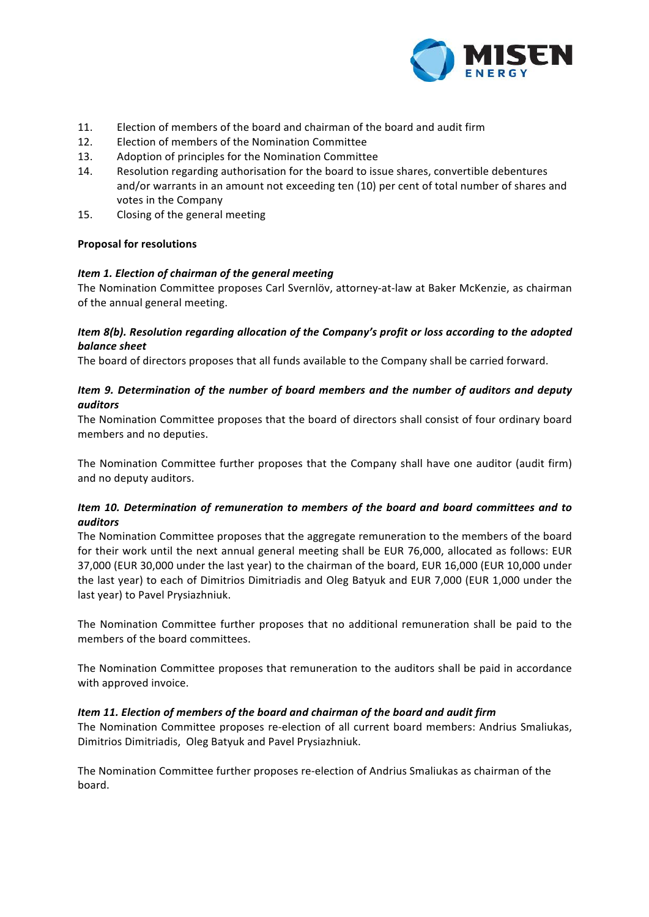

- 11. Election of members of the board and chairman of the board and audit firm
- 12. Election of members of the Nomination Committee
- 13. Adoption of principles for the Nomination Committee
- 14. Resolution regarding authorisation for the board to issue shares, convertible debentures and/or warrants in an amount not exceeding ten (10) per cent of total number of shares and votes in the Company
- 15. Closing of the general meeting

## **Proposal for resolutions**

## *Item 1. Election of chairman of the general meeting*

The Nomination Committee proposes Carl Svernlöv, attorney-at-law at Baker McKenzie, as chairman of the annual general meeting.

## *Item* 8(b). Resolution regarding allocation of the Company's profit or loss according to the adopted *balance sheet*

The board of directors proposes that all funds available to the Company shall be carried forward.

## *Item* 9. Determination of the number of board members and the number of auditors and deputy *auditors*

The Nomination Committee proposes that the board of directors shall consist of four ordinary board members and no deputies.

The Nomination Committee further proposes that the Company shall have one auditor (audit firm) and no deputy auditors.

## *Item 10. Determination of remuneration to members of the board and board committees and to auditors*

The Nomination Committee proposes that the aggregate remuneration to the members of the board for their work until the next annual general meeting shall be EUR 76,000, allocated as follows: EUR 37,000 (EUR 30,000 under the last year) to the chairman of the board, EUR 16,000 (EUR 10,000 under the last year) to each of Dimitrios Dimitriadis and Oleg Batyuk and EUR 7,000 (EUR 1,000 under the last year) to Pavel Prysiazhniuk.

The Nomination Committee further proposes that no additional remuneration shall be paid to the members of the board committees.

The Nomination Committee proposes that remuneration to the auditors shall be paid in accordance with approved invoice.

## *Item 11. Election of members of the board and chairman of the board and audit firm*

The Nomination Committee proposes re-election of all current board members: Andrius Smaliukas, Dimitrios Dimitriadis, Oleg Batyuk and Pavel Prysiazhniuk.

The Nomination Committee further proposes re-election of Andrius Smaliukas as chairman of the board.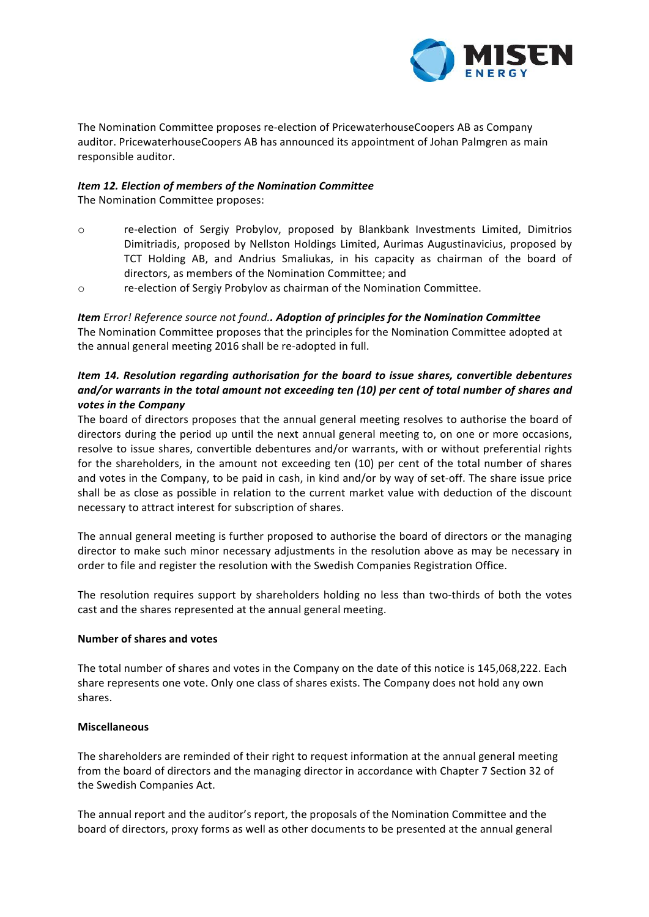

The Nomination Committee proposes re-election of PricewaterhouseCoopers AB as Company auditor. PricewaterhouseCoopers AB has announced its appointment of Johan Palmgren as main responsible auditor.

## *Item 12. Election of members of the Nomination Committee*

The Nomination Committee proposes:

- o re-election of Sergiy Probylov, proposed by Blankbank Investments Limited, Dimitrios Dimitriadis, proposed by Nellston Holdings Limited, Aurimas Augustinavicius, proposed by TCT Holding AB, and Andrius Smaliukas, in his capacity as chairman of the board of directors, as members of the Nomination Committee; and
- $\circ$  re-election of Sergiy Probylov as chairman of the Nomination Committee.

**Item** *Error!* Reference source not found.. Adoption of principles for the Nomination Committee The Nomination Committee proposes that the principles for the Nomination Committee adopted at the annual general meeting 2016 shall be re-adopted in full.

# *Item 14. Resolution regarding authorisation for the board to issue shares, convertible debentures* and/or warrants in the total amount not exceeding ten (10) per cent of total number of shares and votes in the Company

The board of directors proposes that the annual general meeting resolves to authorise the board of directors during the period up until the next annual general meeting to, on one or more occasions, resolve to issue shares, convertible debentures and/or warrants, with or without preferential rights for the shareholders, in the amount not exceeding ten (10) per cent of the total number of shares and votes in the Company, to be paid in cash, in kind and/or by way of set-off. The share issue price shall be as close as possible in relation to the current market value with deduction of the discount necessary to attract interest for subscription of shares.

The annual general meeting is further proposed to authorise the board of directors or the managing director to make such minor necessary adjustments in the resolution above as may be necessary in order to file and register the resolution with the Swedish Companies Registration Office.

The resolution requires support by shareholders holding no less than two-thirds of both the votes cast and the shares represented at the annual general meeting.

## **Number of shares and votes**

The total number of shares and votes in the Company on the date of this notice is 145,068,222. Each share represents one vote. Only one class of shares exists. The Company does not hold any own shares.

## **Miscellaneous**

The shareholders are reminded of their right to request information at the annual general meeting from the board of directors and the managing director in accordance with Chapter 7 Section 32 of the Swedish Companies Act.

The annual report and the auditor's report, the proposals of the Nomination Committee and the board of directors, proxy forms as well as other documents to be presented at the annual general